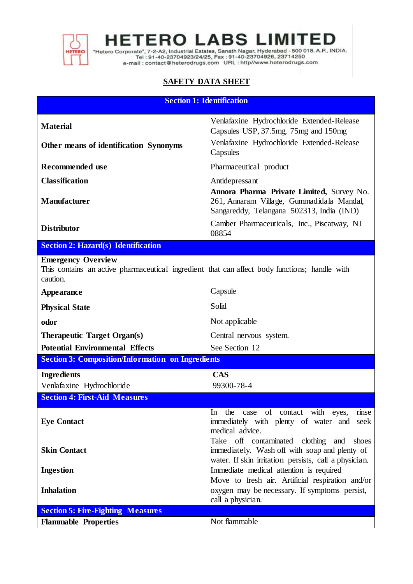

**HETERO LABS LIMITED** 

"Hetero Corporate", 7-2-A2, Industrial Estates, Sanath Nagar, Hyderabad - 500 018. A.P., INDIA.<br>Tel : 91-40-23704923/24/25, Fax : 91-40-23704926, 23714250<br>e-mail : contact@heterodrugs.com URL : http://www.heterodrugs.com

## **SAFETY DATA SHEET**

| <b>Section 1: Identification</b> |  |  |
|----------------------------------|--|--|
|                                  |  |  |

| <b>Material</b>                                                                                                                        | Venlafaxine Hydrochloride Extended-Release<br>Capsules USP, 37.5mg, 75mg and 150mg                                                  |  |
|----------------------------------------------------------------------------------------------------------------------------------------|-------------------------------------------------------------------------------------------------------------------------------------|--|
|                                                                                                                                        | Venlafaxine Hydrochloride Extended-Release                                                                                          |  |
| Other means of identification Synonyms                                                                                                 | Capsules                                                                                                                            |  |
| Recommended use                                                                                                                        | Pharmaceutical product                                                                                                              |  |
| <b>Classification</b>                                                                                                                  | Antidepressant                                                                                                                      |  |
| <b>Manufacturer</b>                                                                                                                    | Annora Pharma Private Limited, Survey No.<br>261, Annaram Village, Gummadidala Mandal,<br>Sangareddy, Telangana 502313, India (IND) |  |
| <b>Distributor</b>                                                                                                                     | Camber Pharmaceuticals, Inc., Piscatway, NJ<br>08854                                                                                |  |
| <b>Section 2: Hazard(s) Identification</b>                                                                                             |                                                                                                                                     |  |
| <b>Emergency Overview</b><br>This contains an active pharmaceutical ingredient that can affect body functions; handle with<br>caution. |                                                                                                                                     |  |
| Appearance                                                                                                                             | Capsule                                                                                                                             |  |
| <b>Physical State</b>                                                                                                                  | Solid                                                                                                                               |  |
| odor                                                                                                                                   | Not applicable                                                                                                                      |  |
| Therapeutic Target Organ(s)                                                                                                            | Central nervous system.                                                                                                             |  |
| <b>Potential Environmental Effects</b>                                                                                                 | See Section 12                                                                                                                      |  |
| <b>Section 3: Composition/Information on Ingredients</b>                                                                               |                                                                                                                                     |  |
| <b>Ingredients</b>                                                                                                                     | <b>CAS</b>                                                                                                                          |  |
| Venlafaxine Hydrochloride                                                                                                              | 99300-78-4                                                                                                                          |  |
| <b>Section 4: First-Aid Measures</b>                                                                                                   |                                                                                                                                     |  |
| <b>Eye Contact</b>                                                                                                                     | In the case of contact with eyes,<br>rinse<br>immediately with plenty of water and seek<br>medical advice.                          |  |
| <b>Skin Contact</b>                                                                                                                    | Take off contaminated clothing and<br>shoes<br>immediately. Wash off with soap and plenty of                                        |  |
|                                                                                                                                        | water. If skin irritation persists, call a physician.                                                                               |  |
| <b>Ingestion</b>                                                                                                                       | Immediate medical attention is required                                                                                             |  |
| <b>Inhalation</b>                                                                                                                      | Move to fresh air. Artificial respiration and/or                                                                                    |  |
|                                                                                                                                        | oxygen may be necessary. If symptoms persist,<br>call a physician.                                                                  |  |
| <b>Section 5: Fire-Fighting Measures</b>                                                                                               |                                                                                                                                     |  |
| <b>Flammable Properties</b>                                                                                                            | Not flammable                                                                                                                       |  |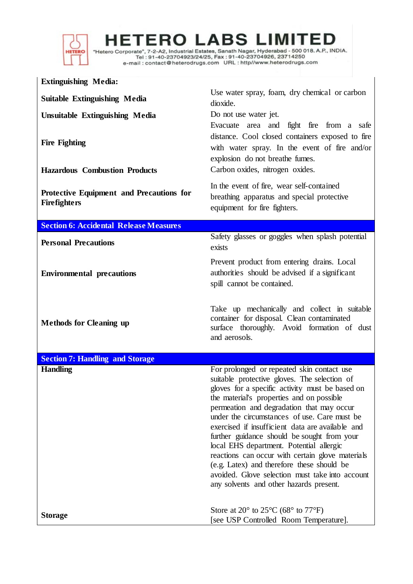

IERO L

Tel: 91-40-23704923/24/25, Fax: 91-40-23704926, 23714250 

**Extinguishing Media: Suitable Extinguishing Media** Use water spray, foam, dry chemical or carbon<br> dioxide. **Unsuitable Extinguishing Media** Do not use water jet. **Fire Fighting** Evacuate area and fight fire from a safe distance. Cool closed containers exposed to fire with water spray. In the event of fire and/or explosion do not breathe fumes. **Hazardous Combustion Products** Carbon oxides, nitrogen oxides. **Protective Equipment and Precautions for Firefighters** In the event of fire, wear self-contained breathing apparatus and special protective equipment for fire fighters. **Section 6: Accidental Release Measures Personal Precautions** Safety glasses or goggles when splash potential exists **Environmental precautions** Prevent product from entering drains. Local authorities should be advised if a significant spill cannot be contained. **Methods for Cleaning up** Take up mechanically and collect in suitable container for disposal. Clean contaminated surface thoroughly. Avoid formation of dust and aerosols. **Section 7: Handling and Storage Handling** For prolonged or repeated skin contact use suitable protective gloves. The selection of gloves for a specific activity must be based on the material's properties and on possible permeation and degradation that may occur under the circumstances of use. Care must be exercised if insufficient data are available and further guidance should be sought from your local EHS department. Potential allergic reactions can occur with certain glove materials (e.g. Latex) and therefore these should be avoided. Glove selection must take into account any solvents and other hazards present. **Storage** Store at 20° to 25°C (68° to 77°F) [see USP Controlled Room Temperature].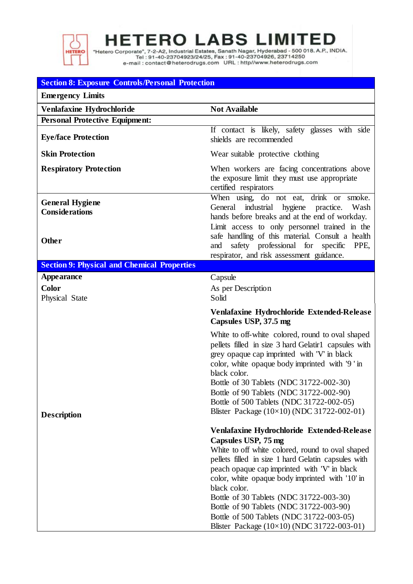

**HETERO LABS LIMITED** 

"Hetero Corporate", 7-2-A2, Industrial Estates, Sanath Nagar, Hyderabad - 500 018. A.P., INDIA.<br>Tel : 91-40-23704923/24/25, Fax : 91-40-23704926, 23714250<br>e-mail : contact@heterodrugs.com URL : http://www.heterodrugs.com

## **Section 8: Exposure Controls/Personal Protection**

| <b>Emergency Limits</b>                                         |                                                                                                                                                                                                                                                                                                                                                                                                                                                                                 |
|-----------------------------------------------------------------|---------------------------------------------------------------------------------------------------------------------------------------------------------------------------------------------------------------------------------------------------------------------------------------------------------------------------------------------------------------------------------------------------------------------------------------------------------------------------------|
| Venlafaxine Hydrochloride                                       | <b>Not Available</b>                                                                                                                                                                                                                                                                                                                                                                                                                                                            |
| <b>Personal Protective Equipment:</b>                           |                                                                                                                                                                                                                                                                                                                                                                                                                                                                                 |
| <b>Eye/face Protection</b>                                      | If contact is likely, safety glasses with side<br>shields are recommended                                                                                                                                                                                                                                                                                                                                                                                                       |
| <b>Skin Protection</b>                                          | Wear suitable protective clothing                                                                                                                                                                                                                                                                                                                                                                                                                                               |
| <b>Respiratory Protection</b>                                   | When workers are facing concentrations above<br>the exposure limit they must use appropriate<br>certified respirators                                                                                                                                                                                                                                                                                                                                                           |
| <b>General Hygiene</b><br><b>Considerations</b><br><b>Other</b> | When using, do not eat, drink or smoke.<br>General industrial hygiene practice.<br>Wash<br>hands before breaks and at the end of workday.<br>Limit access to only personnel trained in the<br>safe handling of this material. Consult a health<br>safety professional for specific<br>and<br>PPE,                                                                                                                                                                               |
|                                                                 | respirator, and risk assessment guidance.                                                                                                                                                                                                                                                                                                                                                                                                                                       |
| <b>Section 9: Physical and Chemical Properties</b>              |                                                                                                                                                                                                                                                                                                                                                                                                                                                                                 |
| <b>Appearance</b>                                               | Capsule                                                                                                                                                                                                                                                                                                                                                                                                                                                                         |
| <b>Color</b>                                                    | As per Description                                                                                                                                                                                                                                                                                                                                                                                                                                                              |
| Physical State                                                  | Solid                                                                                                                                                                                                                                                                                                                                                                                                                                                                           |
|                                                                 | Venlafaxine Hydrochloride Extended-Release<br>Capsules USP, 37.5 mg                                                                                                                                                                                                                                                                                                                                                                                                             |
|                                                                 | White to off-white colored, round to oval shaped<br>pellets filled in size 3 hard Gelatir1 capsules with<br>grey opaque cap imprinted with 'V' in black<br>color, white opaque body imprinted with '9' in<br>black color.                                                                                                                                                                                                                                                       |
|                                                                 | Bottle of 30 Tablets (NDC 31722-002-30)                                                                                                                                                                                                                                                                                                                                                                                                                                         |
|                                                                 | Bottle of 90 Tablets (NDC 31722-002-90)<br>Bottle of 500 Tablets (NDC 31722-002-05)                                                                                                                                                                                                                                                                                                                                                                                             |
|                                                                 | Blister Package (10×10) (NDC 31722-002-01)                                                                                                                                                                                                                                                                                                                                                                                                                                      |
| <b>Description</b>                                              |                                                                                                                                                                                                                                                                                                                                                                                                                                                                                 |
|                                                                 | Venlafaxine Hydrochloride Extended-Release<br>Capsules USP, 75 mg<br>White to off white colored, round to oval shaped<br>pellets filled in size 1 hard Gelatin capsules with<br>peach opaque cap imprinted with 'V' in black<br>color, white opaque body imprinted with '10' in<br>black color.<br>Bottle of 30 Tablets (NDC 31722-003-30)<br>Bottle of 90 Tablets (NDC 31722-003-90)<br>Bottle of 500 Tablets (NDC 31722-003-05)<br>Blister Package (10×10) (NDC 31722-003-01) |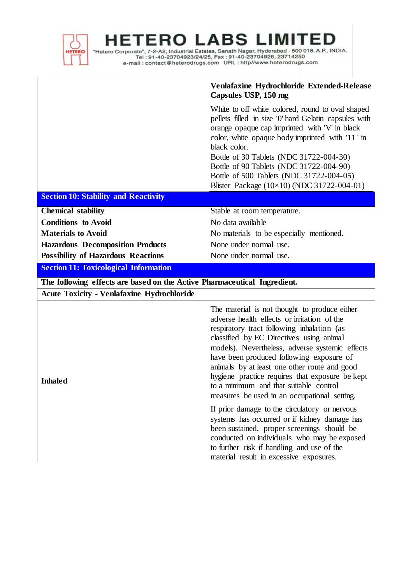| <b>HETERO</b>                                                            | <b>HETERO LABS LIMITED</b><br>"Hetero Corporate", 7-2-A2, Industrial Estates, Sanath Nagar, Hyderabad - 500 018. A.P., INDIA.<br>Tel: 91-40-23704923/24/25, Fax: 91-40-23704926, 23714250                                                                                                                                                                                                                                                                                          |  |
|--------------------------------------------------------------------------|------------------------------------------------------------------------------------------------------------------------------------------------------------------------------------------------------------------------------------------------------------------------------------------------------------------------------------------------------------------------------------------------------------------------------------------------------------------------------------|--|
|                                                                          | Venlafaxine Hydrochloride Extended-Release<br>Capsules USP, 150 mg                                                                                                                                                                                                                                                                                                                                                                                                                 |  |
|                                                                          | White to off white colored, round to oval shaped<br>pellets filled in size '0' hard Gelatin capsules with<br>orange opaque cap imprinted with 'V' in black<br>color, white opaque body imprinted with '11' in<br>black color.<br>Bottle of 30 Tablets (NDC 31722-004-30)<br>Bottle of 90 Tablets (NDC 31722-004-90)<br>Bottle of 500 Tablets (NDC 31722-004-05)<br>Blister Package (10×10) (NDC 31722-004-01)                                                                      |  |
| <b>Section 10: Stability and Reactivity</b>                              |                                                                                                                                                                                                                                                                                                                                                                                                                                                                                    |  |
| <b>Chemical stability</b>                                                | Stable at room temperature.                                                                                                                                                                                                                                                                                                                                                                                                                                                        |  |
| <b>Conditions</b> to Avoid                                               | No data available                                                                                                                                                                                                                                                                                                                                                                                                                                                                  |  |
| <b>Materials to Avoid</b>                                                | No materials to be especially mentioned.                                                                                                                                                                                                                                                                                                                                                                                                                                           |  |
| <b>Hazardous Decomposition Products</b>                                  | None under normal use.                                                                                                                                                                                                                                                                                                                                                                                                                                                             |  |
| <b>Possibility of Hazardous Reactions</b>                                | None under normal use.                                                                                                                                                                                                                                                                                                                                                                                                                                                             |  |
| <b>Section 11: Toxicological Information</b>                             |                                                                                                                                                                                                                                                                                                                                                                                                                                                                                    |  |
| The following effects are based on the Active Pharmaceutical Ingredient. |                                                                                                                                                                                                                                                                                                                                                                                                                                                                                    |  |
| <b>Acute Toxicity - Venlafaxine Hydrochloride</b>                        |                                                                                                                                                                                                                                                                                                                                                                                                                                                                                    |  |
| <b>Inhaled</b>                                                           | The material is not thought to produce either<br>adverse health effects or irritation of the<br>respiratory tract following inhalation (as<br>classified by EC Directives using animal<br>models). Nevertheless, adverse systemic effects<br>have been produced following exposure of<br>animals by at least one other route and good<br>hygiene practice requires that exposure be kept<br>to a minimum and that suitable control<br>measures be used in an occupational setting. |  |
|                                                                          | If prior damage to the circulatory or nervous<br>systems has occurred or if kidney damage has<br>been sustained, proper screenings should be<br>conducted on individuals who may be exposed<br>to further risk if handling and use of the<br>material result in excessive exposures.                                                                                                                                                                                               |  |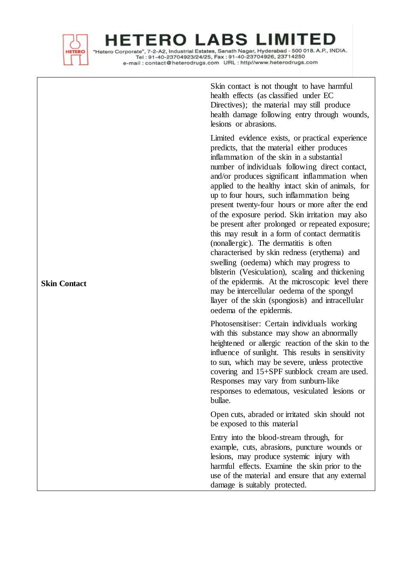

"Hetero Corporate", 7-2-A2, Industrial Estates, Sanath Nagar, Hyderabad - 500 018. A.P., INDIA. Tel: 91-40-23704923/24/25, Fax: 91-40-23704926, 23714250 

> Skin contact is not thought to have harmful health effects (as classified under EC Directives); the material may still produce health damage following entry through wounds, lesions or abrasions.

> Limited evidence exists, or practical experience predicts, that the material either produces inflammation of the skin in a substantial number of individuals following direct contact, and/or produces significant inflammation when applied to the healthy intact skin of animals, for up to four hours, such inflammation being present twenty -four hours or more after the end of the exposure period. Skin irritation may also be present after prolonged or repeated exposure; this may result in a form of contact dermatitis (nonallergic). The dermatitis is often characterised by skin redness (erythema) and swelling (oedema) which may progress to blisterin (Vesiculation), scaling and thickening of the epidermis. At the microscopic level there may be intercellular oedema of the spongyl llayer of the skin (spongiosis) and intracellular oedema of the epidermis.

> Photosensitiser: Certain individuals working with this substance may show an abnormally heightened or allergic reaction of the skin to the influence of sunlight. This results in sensitivity to sun, which may be severe, unless protective covering and 15+SPF sunblock cream are used. Responses may vary from sunburn-like responses to edematous, vesiculated lesions or bullae.

Open cuts, abraded or irritated skin should not be exposed to this material

Entry into the blood -stream through, for example, cuts, abrasions, puncture wounds or lesions, may produce systemic injury with harmful effects. Examine the skin prior to the use of the material and ensure that any external damage is suitably protected.

**Skin Contact**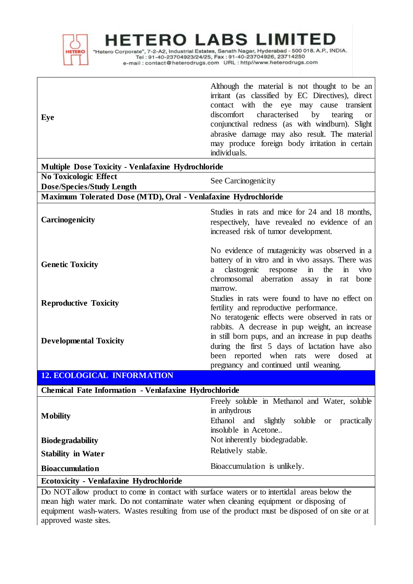

 $\mathsf I$ 

**ERO** Δ - L

"Hetero Corporate", 7-2-A2, Industrial Estates, Sanath Nagar, Hyderabad - 500 018. A.P., INDIA.<br>Tel: 91-40-23704923/24/25, Fax: 91-40-23704926, 23714250 

| Eye                                                                                                                                                                                    | Although the material is not thought to be an<br>irritant (as classified by EC Directives), direct<br>contact with the eye may cause transient<br>characterised<br>by<br>discomfort<br>tearing<br><b>or</b><br>conjunctival redness (as with windburn). Slight<br>abrasive damage may also result. The material<br>may produce foreign body irritation in certain<br>individuals. |  |  |
|----------------------------------------------------------------------------------------------------------------------------------------------------------------------------------------|-----------------------------------------------------------------------------------------------------------------------------------------------------------------------------------------------------------------------------------------------------------------------------------------------------------------------------------------------------------------------------------|--|--|
| <b>Multiple Dose Toxicity - Venlafaxine Hydrochloride</b>                                                                                                                              |                                                                                                                                                                                                                                                                                                                                                                                   |  |  |
| <b>No Toxicologic Effect</b>                                                                                                                                                           | See Carcinogenicity                                                                                                                                                                                                                                                                                                                                                               |  |  |
| <b>Dose/Species/Study Length</b><br>Maximum Tolerated Dose (MTD), Oral - Venlafaxine Hydrochloride                                                                                     |                                                                                                                                                                                                                                                                                                                                                                                   |  |  |
| Carcinogenicity                                                                                                                                                                        | Studies in rats and mice for 24 and 18 months,<br>respectively, have revealed no evidence of an<br>increased risk of tumor development.                                                                                                                                                                                                                                           |  |  |
| <b>Genetic Toxicity</b>                                                                                                                                                                | No evidence of mutagenicity was observed in a<br>battery of in vitro and in vivo assays. There was<br>clastogenic<br>the<br>response<br>$\mathbf{m}$<br>$\mathbf{m}$<br>vivo<br>a<br>chromosomal aberration assay<br>in rat<br>bone<br>marrow.                                                                                                                                    |  |  |
| <b>Reproductive Toxicity</b>                                                                                                                                                           | Studies in rats were found to have no effect on<br>fertility and reproductive performance.                                                                                                                                                                                                                                                                                        |  |  |
| <b>Developmental Toxicity</b>                                                                                                                                                          | No teratogenic effects were observed in rats or<br>rabbits. A decrease in pup weight, an increase<br>in still born pups, and an increase in pup deaths<br>during the first 5 days of lactation have also<br>been reported when rats were dosed at<br>pregnancy and continued until weaning.                                                                                       |  |  |
| <b>12. ECOLOGICAL INFORMATION</b>                                                                                                                                                      |                                                                                                                                                                                                                                                                                                                                                                                   |  |  |
| <b>Chemical Fate Information - Venlafaxine Hydrochloride</b>                                                                                                                           |                                                                                                                                                                                                                                                                                                                                                                                   |  |  |
| <b>Mobility</b>                                                                                                                                                                        | Freely soluble in Methanol and Water, soluble<br>in anhydrous<br>Ethanol<br>and<br>slightly soluble<br>practically<br><b>or</b><br>insoluble in Acetone                                                                                                                                                                                                                           |  |  |
| <b>Biodegradability</b>                                                                                                                                                                | Not inherently biodegradable.                                                                                                                                                                                                                                                                                                                                                     |  |  |
| <b>Stability in Water</b>                                                                                                                                                              | Relatively stable.                                                                                                                                                                                                                                                                                                                                                                |  |  |
| <b>Bioaccumulation</b>                                                                                                                                                                 | Bioaccumulation is unlikely.                                                                                                                                                                                                                                                                                                                                                      |  |  |
| <b>Ecotoxicity - Venlafaxine Hydrochloride</b>                                                                                                                                         |                                                                                                                                                                                                                                                                                                                                                                                   |  |  |
| Do NOT allow product to come in contact with surface waters or to intertidal areas below the<br>Light worker mouth. Do not contemporary without also in a continuous on disposition of |                                                                                                                                                                                                                                                                                                                                                                                   |  |  |

mean high water mark. Do not contaminate water when cleaning equipment or disposing of equipment wash-waters. Wastes resulting from use of the product must be disposed of on site or at approved waste sites.